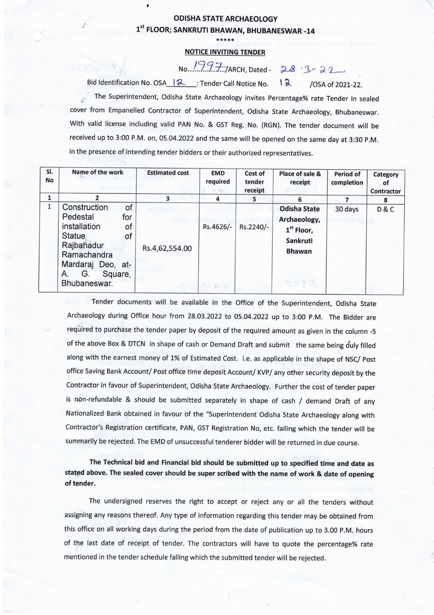## **ODISHA STATE ARCHAEOLOGY** 1st FLOOR; SANKRUTI BHAWAN, BHUBANESWAR -14

## **NOTICE INVITING TENDER**

No. 1997/ARCH, Dated-28.3-22 Bid Identification No. OSA | 2 : Tender Call Notice No.  $12$ 

 $\blacksquare$ 

 $\mathcal{L}$ 

/OSA of 2021-22.

The Superintendent, Odisha State Archaeology invites Percentage% rate Tender in sealed cover from Empanelled Contractor of Superintendent, Odisha State Archaeology, Bhubaneswar. With valid license including valid PAN No. & GST Reg. No. (RGN). The tender document will be received up to 3:00 P.M. on, 05.04.2022 and the same will be opened on the same day at 3:30 P.M. in the presence of intending tender bidders or their authorized representatives.

| SI.<br>No    | Name of the work                                                                                                                                                            | <b>Estimated cost</b> | <b>EMD</b><br>required | Cost of<br>tender<br>receipt | Place of sale &<br>receipt                                                               | <b>Period of</b><br>completion | Category<br>οf<br><b>Contractor</b> |
|--------------|-----------------------------------------------------------------------------------------------------------------------------------------------------------------------------|-----------------------|------------------------|------------------------------|------------------------------------------------------------------------------------------|--------------------------------|-------------------------------------|
|              | 2                                                                                                                                                                           | 3                     | 4                      | 5                            | 6                                                                                        |                                | 8                                   |
| $\mathbf{1}$ | Construction<br>of<br>Pedestal<br>for<br>installation<br>of<br><b>Statue</b><br>of<br>Rajbahadur<br>Ramachandra<br>Mardaraj Deo, at-<br>G.<br>A.<br>Square,<br>Bhubaneswar. | Rs.4,62,554.00        | Rs.4626/-              | Rs.2240/-                    | <b>Odisha State</b><br>Archaeology,<br>$1st$ Floor,<br>Sankruti<br><b>Bhawan</b><br>ACOD | 30 days                        | D&C                                 |

Tender documents will be available in the Office of the Superintendent, Odisha State Archaeology during Office hour from 28.03.2022 to 05.04.2022 up to 3:00 P.M. The Bidder are required to purchase the tender paper by deposit of the required amount as given in the column -5 of the above Box & DTCN in shape of cash or Demand Draft and submit the same being duly filled along with the earnest money of 1% of Estimated Cost. i.e. as applicable in the shape of NSC/ Post office Saving Bank Account/ Post office time deposit Account/ KVP/ any other security deposit by the Contractor in favour of Superintendent, Odisha State Archaeology. Further the cost of tender paper is non-refundable & should be submitted separately in shape of cash / demand Draft of any Nationalized Bank obtained in favour of the "Superintendent Odisha State Archaeology along with Contractor's Registration certificate, PAN, GST Registration No, etc. failing which the tender will be summarily be rejected. The EMD of unsuccessful tenderer bidder will be returned in due course.

The Technical bid and Financial bid should be submitted up to specified time and date as stated above. The sealed cover should be super scribed with the name of work & date of opening of tender.

The undersigned reserves the right to accept or reject any or all the tenders without assigning any reasons thereof. Any type of information regarding this tender may be obtained from this office on all working days during the period from the date of publication up to 3.00 P.M. hours of the last date of receipt of tender. The contractors will have to quote the percentage% rate mentioned in the tender schedule falling which the submitted tender will be rejected.